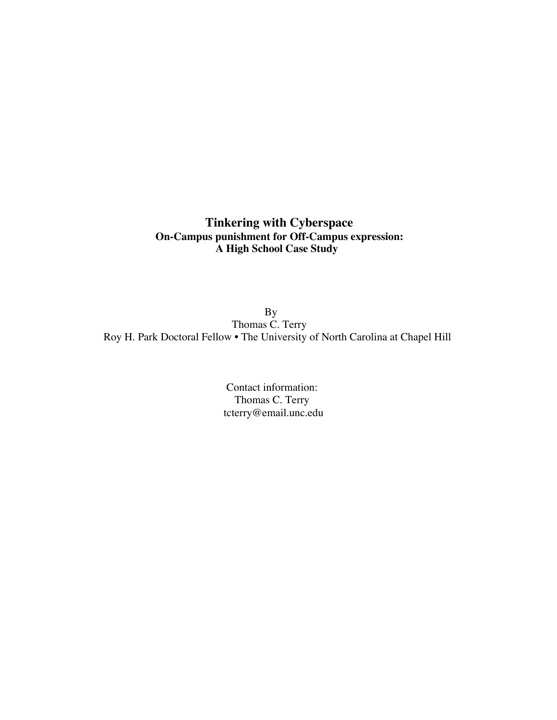# **Tinkering with Cyberspace On-Campus punishment for Off-Campus expression: A High School Case Study**

By Thomas C. Terry Roy H. Park Doctoral Fellow • The University of North Carolina at Chapel Hill

> Contact information: Thomas C. Terry tcterry@email.unc.edu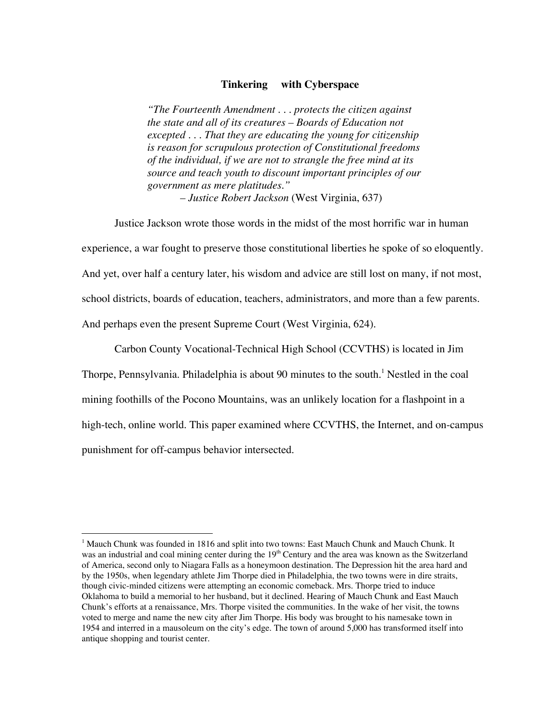### **Tinkering with Cyberspace**

*"The Fourteenth Amendment . . . protects the citizen against the state and all of its creatures – Boards of Education not excepted . . . That they are educating the young for citizenship is reason for scrupulous protection of Constitutional freedoms of the individual, if we are not to strangle the free mind at its source and teach youth to discount important principles of our government as mere platitudes." – Justice Robert Jackson* (West Virginia, 637)

Justice Jackson wrote those words in the midst of the most horrific war in human experience, a war fought to preserve those constitutional liberties he spoke of so eloquently. And yet, over half a century later, his wisdom and advice are still lost on many, if not most, school districts, boards of education, teachers, administrators, and more than a few parents. And perhaps even the present Supreme Court (West Virginia, 624).

Carbon County Vocational-Technical High School (CCVTHS) is located in Jim

Thorpe, Pennsylvania. Philadelphia is about 90 minutes to the south.<sup>1</sup> Nestled in the coal

mining foothills of the Pocono Mountains, was an unlikely location for a flashpoint in a

high-tech, online world. This paper examined where CCVTHS, the Internet, and on-campus

punishment for off-campus behavior intersected.

 $\frac{1}{1}$  $<sup>1</sup>$  Mauch Chunk was founded in 1816 and split into two towns: East Mauch Chunk and Mauch Chunk. It</sup> was an industrial and coal mining center during the  $19<sup>th</sup>$  Century and the area was known as the Switzerland of America, second only to Niagara Falls as a honeymoon destination. The Depression hit the area hard and by the 1950s, when legendary athlete Jim Thorpe died in Philadelphia, the two towns were in dire straits, though civic-minded citizens were attempting an economic comeback. Mrs. Thorpe tried to induce Oklahoma to build a memorial to her husband, but it declined. Hearing of Mauch Chunk and East Mauch Chunk's efforts at a renaissance, Mrs. Thorpe visited the communities. In the wake of her visit, the towns voted to merge and name the new city after Jim Thorpe. His body was brought to his namesake town in 1954 and interred in a mausoleum on the city's edge. The town of around 5,000 has transformed itself into antique shopping and tourist center.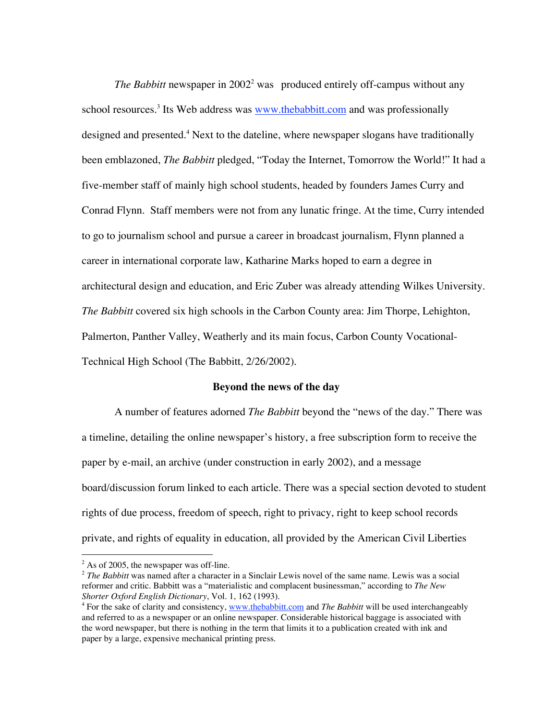*The Babbitt* newspaper in  $2002^2$  was produced entirely off-campus without any school resources.<sup>3</sup> Its Web address was **www.thebabbitt.com** and was professionally designed and presented.<sup>4</sup> Next to the dateline, where newspaper slogans have traditionally been emblazoned, *The Babbitt* pledged, "Today the Internet, Tomorrow the World!" It had a five-member staff of mainly high school students, headed by founders James Curry and Conrad Flynn. Staff members were not from any lunatic fringe. At the time, Curry intended to go to journalism school and pursue a career in broadcast journalism, Flynn planned a career in international corporate law, Katharine Marks hoped to earn a degree in architectural design and education, and Eric Zuber was already attending Wilkes University. *The Babbitt* covered six high schools in the Carbon County area: Jim Thorpe, Lehighton, Palmerton, Panther Valley, Weatherly and its main focus, Carbon County Vocational-Technical High School (The Babbitt, 2/26/2002).

### **Beyond the news of the day**

A number of features adorned *The Babbitt* beyond the "news of the day." There was a timeline, detailing the online newspaper's history, a free subscription form to receive the paper by e-mail, an archive (under construction in early 2002), and a message board/discussion forum linked to each article. There was a special section devoted to student rights of due process, freedom of speech, right to privacy, right to keep school records private, and rights of equality in education, all provided by the American Civil Liberties

 $\frac{1}{2}$  $2$  As of 2005, the newspaper was off-line.

<sup>&</sup>lt;sup>2</sup> The Babbitt was named after a character in a Sinclair Lewis novel of the same name. Lewis was a social reformer and critic. Babbitt was a "materialistic and complacent businessman," according to *The New Shorter Oxford English Dictionary*, Vol. 1, 162 (1993).

<sup>&</sup>lt;sup>4</sup> For the sake of clarity and consistency, www.thebabbitt.com and *The Babbitt* will be used interchangeably and referred to as a newspaper or an online newspaper. Considerable historical baggage is associated with the word newspaper, but there is nothing in the term that limits it to a publication created with ink and paper by a large, expensive mechanical printing press.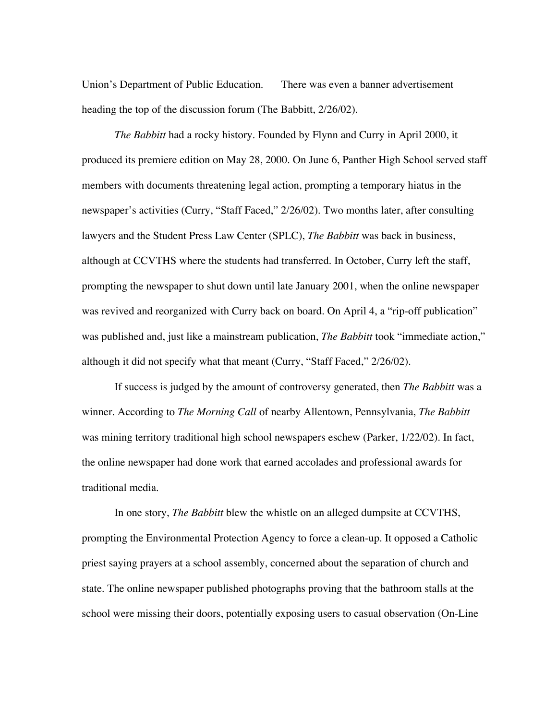Union's Department of Public Education. There was even a banner advertisement heading the top of the discussion forum (The Babbitt, 2/26/02).

*The Babbitt* had a rocky history. Founded by Flynn and Curry in April 2000, it produced its premiere edition on May 28, 2000. On June 6, Panther High School served staff members with documents threatening legal action, prompting a temporary hiatus in the newspaper's activities (Curry, "Staff Faced," 2/26/02). Two months later, after consulting lawyers and the Student Press Law Center (SPLC), *The Babbitt* was back in business, although at CCVTHS where the students had transferred. In October, Curry left the staff, prompting the newspaper to shut down until late January 2001, when the online newspaper was revived and reorganized with Curry back on board. On April 4, a "rip-off publication" was published and, just like a mainstream publication, *The Babbitt* took "immediate action," although it did not specify what that meant (Curry, "Staff Faced," 2/26/02).

If success is judged by the amount of controversy generated, then *The Babbitt* was a winner. According to *The Morning Call* of nearby Allentown, Pennsylvania, *The Babbitt* was mining territory traditional high school newspapers eschew (Parker, 1/22/02). In fact, the online newspaper had done work that earned accolades and professional awards for traditional media.

In one story, *The Babbitt* blew the whistle on an alleged dumpsite at CCVTHS, prompting the Environmental Protection Agency to force a clean-up. It opposed a Catholic priest saying prayers at a school assembly, concerned about the separation of church and state. The online newspaper published photographs proving that the bathroom stalls at the school were missing their doors, potentially exposing users to casual observation (On-Line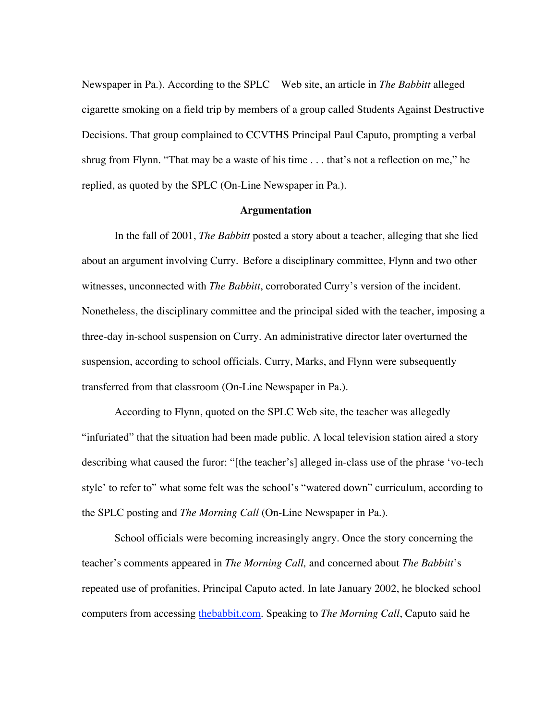Newspaper in Pa.). According to the SPLC Web site, an article in *The Babbitt* alleged cigarette smoking on a field trip by members of a group called Students Against Destructive Decisions. That group complained to CCVTHS Principal Paul Caputo, prompting a verbal shrug from Flynn. "That may be a waste of his time . . . that's not a reflection on me," he replied, as quoted by the SPLC (On-Line Newspaper in Pa.).

#### **Argumentation**

In the fall of 2001, *The Babbitt* posted a story about a teacher, alleging that she lied about an argument involving Curry. Before a disciplinary committee, Flynn and two other witnesses, unconnected with *The Babbitt*, corroborated Curry's version of the incident. Nonetheless, the disciplinary committee and the principal sided with the teacher, imposing a three-day in-school suspension on Curry. An administrative director later overturned the suspension, according to school officials. Curry, Marks, and Flynn were subsequently transferred from that classroom (On-Line Newspaper in Pa.).

According to Flynn, quoted on the SPLC Web site, the teacher was allegedly "infuriated" that the situation had been made public. A local television station aired a story describing what caused the furor: "[the teacher's] alleged in-class use of the phrase 'vo-tech style' to refer to" what some felt was the school's "watered down" curriculum, according to the SPLC posting and *The Morning Call* (On-Line Newspaper in Pa.).

School officials were becoming increasingly angry. Once the story concerning the teacher's comments appeared in *The Morning Call,* and concerned about *The Babbitt*'s repeated use of profanities, Principal Caputo acted. In late January 2002, he blocked school computers from accessing thebabbit.com. Speaking to *The Morning Call*, Caputo said he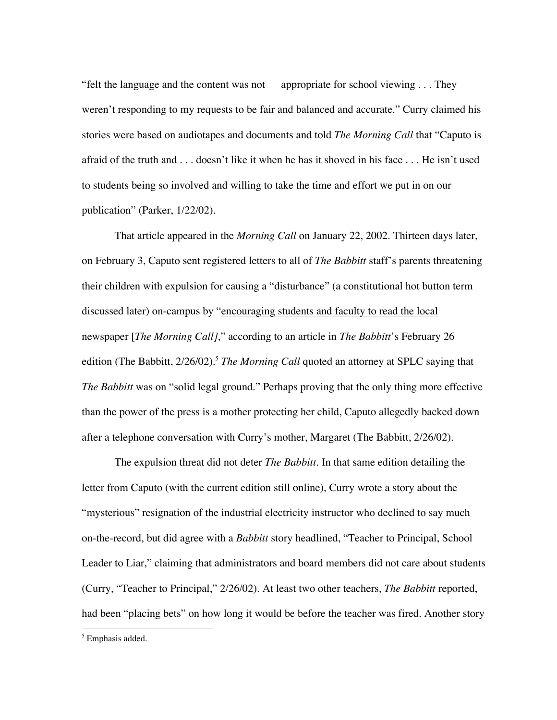"felt the language and the content was not appropriate for school viewing . . . They weren't responding to my requests to be fair and balanced and accurate." Curry claimed his stories were based on audiotapes and documents and told *The Morning Call* that "Caputo is afraid of the truth and . . . doesn't like it when he has it shoved in his face . . . He isn't used to students being so involved and willing to take the time and effort we put in on our publication" (Parker, 1/22/02).

That article appeared in the *Morning Call* on January 22, 2002. Thirteen days later, on February 3, Caputo sent registered letters to all of *The Babbitt* staff's parents threatening their children with expulsion for causing a "disturbance" (a constitutional hot button term discussed later) on-campus by "encouraging students and faculty to read the local newspaper [*The Morning Call]*," according to an article in *The Babbitt*'s February 26 edition (The Babbitt, 2/26/02).<sup>5</sup> *The Morning Call* quoted an attorney at SPLC saying that *The Babbitt* was on "solid legal ground." Perhaps proving that the only thing more effective than the power of the press is a mother protecting her child, Caputo allegedly backed down after a telephone conversation with Curry's mother, Margaret (The Babbitt, 2/26/02).

The expulsion threat did not deter *The Babbitt*. In that same edition detailing the letter from Caputo (with the current edition still online), Curry wrote a story about the "mysterious" resignation of the industrial electricity instructor who declined to say much on-the-record, but did agree with a *Babbitt* story headlined, "Teacher to Principal, School Leader to Liar," claiming that administrators and board members did not care about students (Curry, "Teacher to Principal," 2/26/02). At least two other teachers, *The Babbitt* reported, had been "placing bets" on how long it would be before the teacher was fired. Another story

 <sup>5</sup>  $5$  Emphasis added.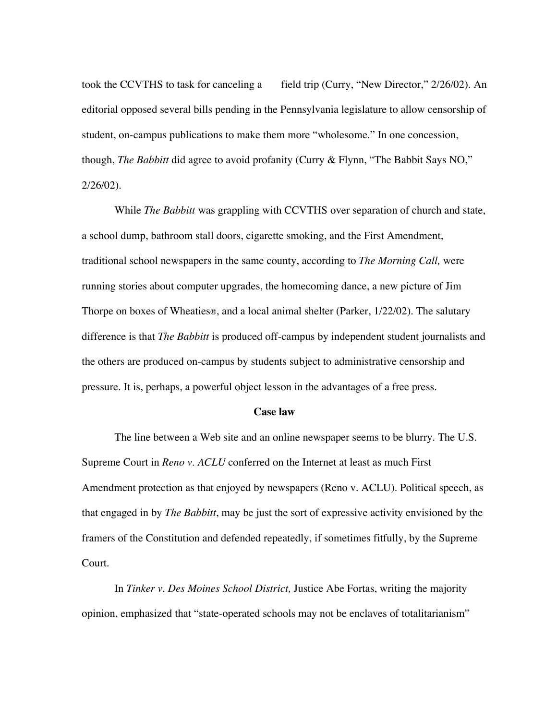took the CCVTHS to task for canceling a field trip (Curry, "New Director," 2/26/02). An editorial opposed several bills pending in the Pennsylvania legislature to allow censorship of student, on-campus publications to make them more "wholesome." In one concession, though, *The Babbitt* did agree to avoid profanity (Curry & Flynn, "The Babbit Says NO," 2/26/02).

While *The Babbitt* was grappling with CCVTHS over separation of church and state, a school dump, bathroom stall doors, cigarette smoking, and the First Amendment, traditional school newspapers in the same county, according to *The Morning Call,* were running stories about computer upgrades, the homecoming dance, a new picture of Jim Thorpe on boxes of Wheaties®, and a local animal shelter (Parker, 1/22/02). The salutary difference is that *The Babbitt* is produced off-campus by independent student journalists and the others are produced on-campus by students subject to administrative censorship and pressure. It is, perhaps, a powerful object lesson in the advantages of a free press.

### **Case law**

The line between a Web site and an online newspaper seems to be blurry. The U.S. Supreme Court in *Reno v. ACLU* conferred on the Internet at least as much First Amendment protection as that enjoyed by newspapers (Reno v. ACLU). Political speech, as that engaged in by *The Babbitt*, may be just the sort of expressive activity envisioned by the framers of the Constitution and defended repeatedly, if sometimes fitfully, by the Supreme Court.

In *Tinker v. Des Moines School District,* Justice Abe Fortas, writing the majority opinion, emphasized that "state-operated schools may not be enclaves of totalitarianism"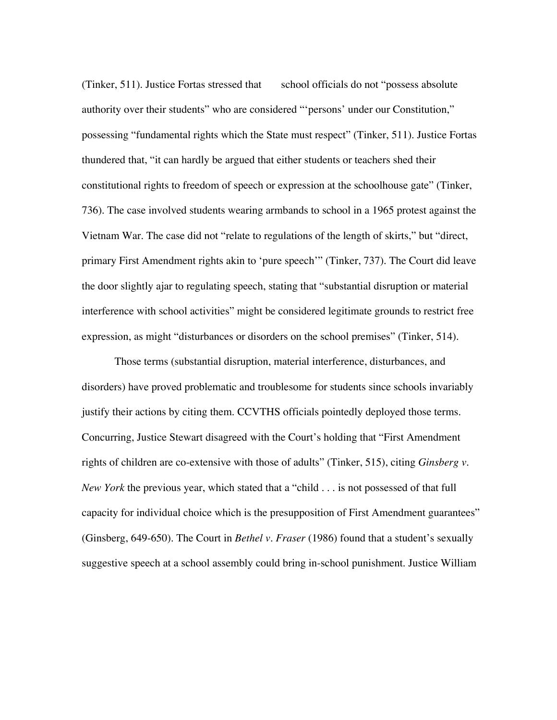(Tinker, 511). Justice Fortas stressed that school officials do not "possess absolute authority over their students" who are considered "'persons' under our Constitution," possessing "fundamental rights which the State must respect" (Tinker, 511). Justice Fortas thundered that, "it can hardly be argued that either students or teachers shed their constitutional rights to freedom of speech or expression at the schoolhouse gate" (Tinker, 736). The case involved students wearing armbands to school in a 1965 protest against the Vietnam War. The case did not "relate to regulations of the length of skirts," but "direct, primary First Amendment rights akin to 'pure speech'" (Tinker, 737). The Court did leave the door slightly ajar to regulating speech, stating that "substantial disruption or material interference with school activities" might be considered legitimate grounds to restrict free expression, as might "disturbances or disorders on the school premises" (Tinker, 514).

Those terms (substantial disruption, material interference, disturbances, and disorders) have proved problematic and troublesome for students since schools invariably justify their actions by citing them. CCVTHS officials pointedly deployed those terms. Concurring, Justice Stewart disagreed with the Court's holding that "First Amendment rights of children are co-extensive with those of adults" (Tinker, 515), citing *Ginsberg v. New York* the previous year, which stated that a "child . . . is not possessed of that full capacity for individual choice which is the presupposition of First Amendment guarantees" (Ginsberg, 649-650). The Court in *Bethel v. Fraser* (1986) found that a student's sexually suggestive speech at a school assembly could bring in-school punishment. Justice William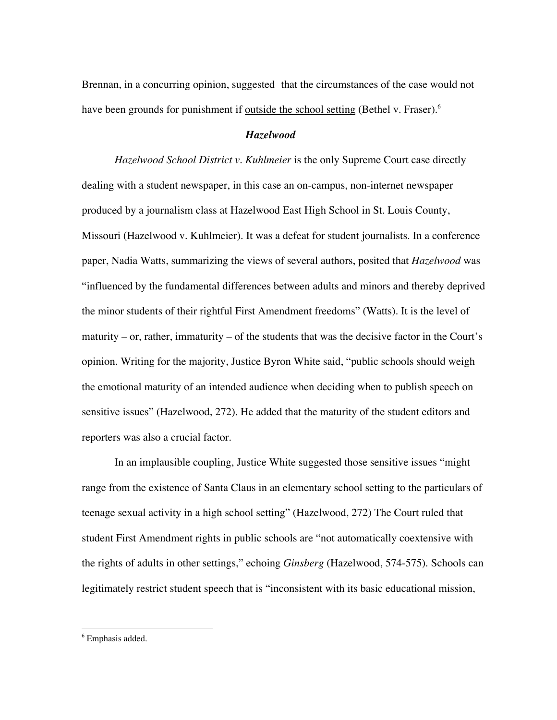Brennan, in a concurring opinion, suggested that the circumstances of the case would not have been grounds for punishment if <u>outside the school setting</u> (Bethel v. Fraser).<sup>6</sup>

### *Hazelwood*

*Hazelwood School District v. Kuhlmeier* is the only Supreme Court case directly dealing with a student newspaper, in this case an on-campus, non-internet newspaper produced by a journalism class at Hazelwood East High School in St. Louis County, Missouri (Hazelwood v. Kuhlmeier). It was a defeat for student journalists. In a conference paper, Nadia Watts, summarizing the views of several authors, posited that *Hazelwood* was "influenced by the fundamental differences between adults and minors and thereby deprived the minor students of their rightful First Amendment freedoms" (Watts). It is the level of maturity – or, rather, immaturity – of the students that was the decisive factor in the Court's opinion. Writing for the majority, Justice Byron White said, "public schools should weigh the emotional maturity of an intended audience when deciding when to publish speech on sensitive issues" (Hazelwood, 272). He added that the maturity of the student editors and reporters was also a crucial factor.

In an implausible coupling, Justice White suggested those sensitive issues "might range from the existence of Santa Claus in an elementary school setting to the particulars of teenage sexual activity in a high school setting" (Hazelwood, 272) The Court ruled that student First Amendment rights in public schools are "not automatically coextensive with the rights of adults in other settings," echoing *Ginsberg* (Hazelwood, 574-575)*.* Schools can legitimately restrict student speech that is "inconsistent with its basic educational mission,

 <sup>6</sup> Emphasis added.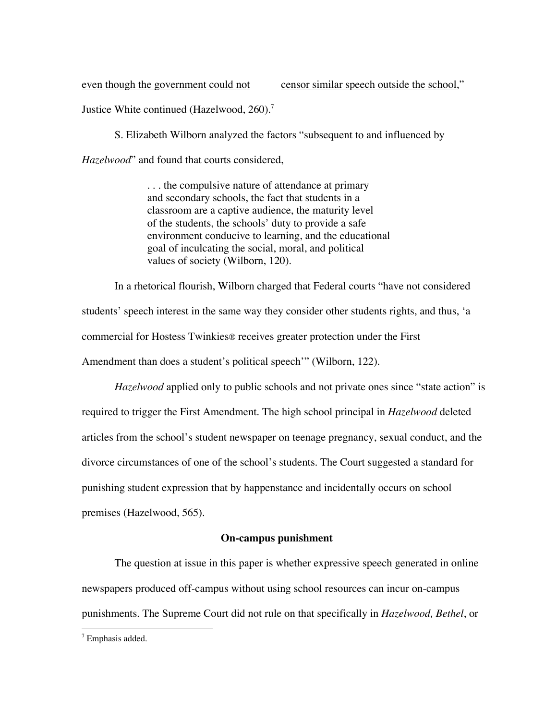even though the government could not censor similar speech outside the school,"

Justice White continued (Hazelwood, 260).<sup>7</sup>

S. Elizabeth Wilborn analyzed the factors "subsequent to and influenced by

*Hazelwood*" and found that courts considered,

. . . the compulsive nature of attendance at primary and secondary schools, the fact that students in a classroom are a captive audience, the maturity level of the students, the schools' duty to provide a safe environment conducive to learning, and the educational goal of inculcating the social, moral, and political values of society (Wilborn, 120).

In a rhetorical flourish, Wilborn charged that Federal courts "have not considered students' speech interest in the same way they consider other students rights, and thus, 'a commercial for Hostess Twinkies® receives greater protection under the First Amendment than does a student's political speech'" (Wilborn, 122).

*Hazelwood* applied only to public schools and not private ones since "state action" is required to trigger the First Amendment. The high school principal in *Hazelwood* deleted articles from the school's student newspaper on teenage pregnancy, sexual conduct, and the divorce circumstances of one of the school's students. The Court suggested a standard for punishing student expression that by happenstance and incidentally occurs on school premises (Hazelwood, 565).

## **On-campus punishment**

The question at issue in this paper is whether expressive speech generated in online newspapers produced off-campus without using school resources can incur on-campus punishments. The Supreme Court did not rule on that specifically in *Hazelwood, Bethel*, or

<sup>-&</sup>lt;br>7 <sup>7</sup> Emphasis added.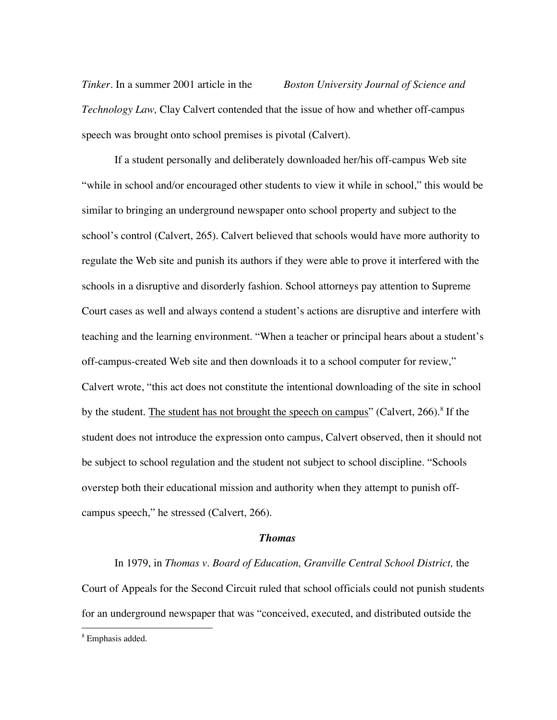*Tinker*. In a summer 2001 article in the *Boston University Journal of Science and Technology Law,* Clay Calvert contended that the issue of how and whether off-campus speech was brought onto school premises is pivotal (Calvert).

If a student personally and deliberately downloaded her/his off-campus Web site "while in school and/or encouraged other students to view it while in school," this would be similar to bringing an underground newspaper onto school property and subject to the school's control (Calvert, 265). Calvert believed that schools would have more authority to regulate the Web site and punish its authors if they were able to prove it interfered with the schools in a disruptive and disorderly fashion. School attorneys pay attention to Supreme Court cases as well and always contend a student's actions are disruptive and interfere with teaching and the learning environment. "When a teacher or principal hears about a student's off-campus-created Web site and then downloads it to a school computer for review," Calvert wrote, "this act does not constitute the intentional downloading of the site in school by the student. The student has not brought the speech on campus" (Calvert, 266).<sup>8</sup> If the student does not introduce the expression onto campus, Calvert observed, then it should not be subject to school regulation and the student not subject to school discipline. "Schools overstep both their educational mission and authority when they attempt to punish offcampus speech," he stressed (Calvert, 266).

#### *Thomas*

In 1979, in *Thomas v. Board of Education, Granville Central School District,* the Court of Appeals for the Second Circuit ruled that school officials could not punish students for an underground newspaper that was "conceived, executed, and distributed outside the

 <sup>8</sup> Emphasis added.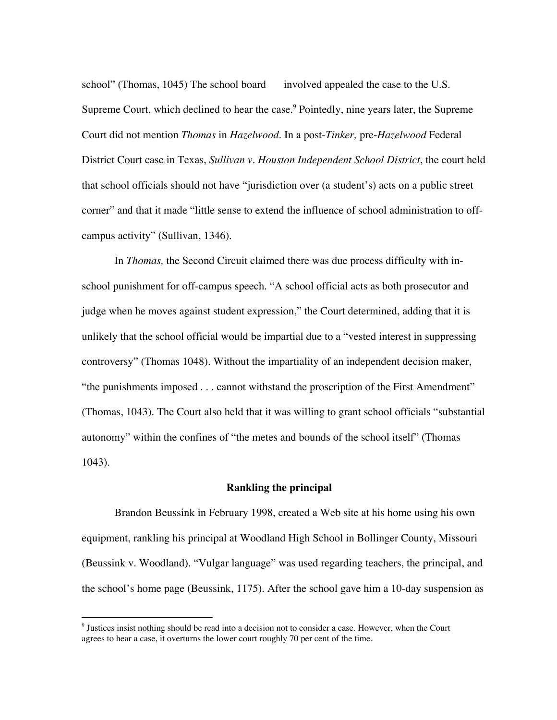school" (Thomas, 1045) The school board involved appealed the case to the U.S. Supreme Court, which declined to hear the case.<sup>9</sup> Pointedly, nine years later, the Supreme Court did not mention *Thomas* in *Hazelwood.* In a post-*Tinker,* pre-*Hazelwood* Federal District Court case in Texas, *Sullivan v. Houston Independent School District*, the court held that school officials should not have "jurisdiction over (a student's) acts on a public street corner" and that it made "little sense to extend the influence of school administration to offcampus activity" (Sullivan, 1346).

In *Thomas,* the Second Circuit claimed there was due process difficulty with inschool punishment for off-campus speech. "A school official acts as both prosecutor and judge when he moves against student expression," the Court determined, adding that it is unlikely that the school official would be impartial due to a "vested interest in suppressing controversy" (Thomas 1048). Without the impartiality of an independent decision maker, "the punishments imposed . . . cannot withstand the proscription of the First Amendment" (Thomas, 1043). The Court also held that it was willing to grant school officials "substantial autonomy" within the confines of "the metes and bounds of the school itself" (Thomas 1043).

# **Rankling the principal**

Brandon Beussink in February 1998, created a Web site at his home using his own equipment, rankling his principal at Woodland High School in Bollinger County, Missouri (Beussink v. Woodland). "Vulgar language" was used regarding teachers, the principal, and the school's home page (Beussink, 1175). After the school gave him a 10-day suspension as

<sup>-&</sup>lt;br>9  $9$  Justices insist nothing should be read into a decision not to consider a case. However, when the Court agrees to hear a case, it overturns the lower court roughly 70 per cent of the time.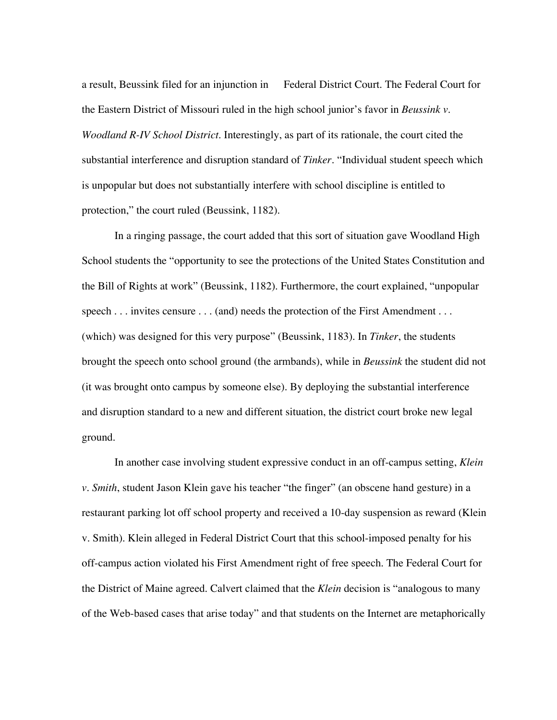a result, Beussink filed for an injunction in Federal District Court. The Federal Court for the Eastern District of Missouri ruled in the high school junior's favor in *Beussink v. Woodland R-IV School District*. Interestingly, as part of its rationale, the court cited the substantial interference and disruption standard of *Tinker*. "Individual student speech which is unpopular but does not substantially interfere with school discipline is entitled to protection," the court ruled (Beussink, 1182).

In a ringing passage, the court added that this sort of situation gave Woodland High School students the "opportunity to see the protections of the United States Constitution and the Bill of Rights at work" (Beussink, 1182). Furthermore, the court explained, "unpopular speech . . . invites censure . . . (and) needs the protection of the First Amendment . . . (which) was designed for this very purpose" (Beussink, 1183). In *Tinker*, the students brought the speech onto school ground (the armbands), while in *Beussink* the student did not (it was brought onto campus by someone else). By deploying the substantial interference and disruption standard to a new and different situation, the district court broke new legal ground.

In another case involving student expressive conduct in an off-campus setting, *Klein v. Smith*, student Jason Klein gave his teacher "the finger" (an obscene hand gesture) in a restaurant parking lot off school property and received a 10-day suspension as reward (Klein v. Smith). Klein alleged in Federal District Court that this school-imposed penalty for his off-campus action violated his First Amendment right of free speech. The Federal Court for the District of Maine agreed. Calvert claimed that the *Klein* decision is "analogous to many of the Web-based cases that arise today" and that students on the Internet are metaphorically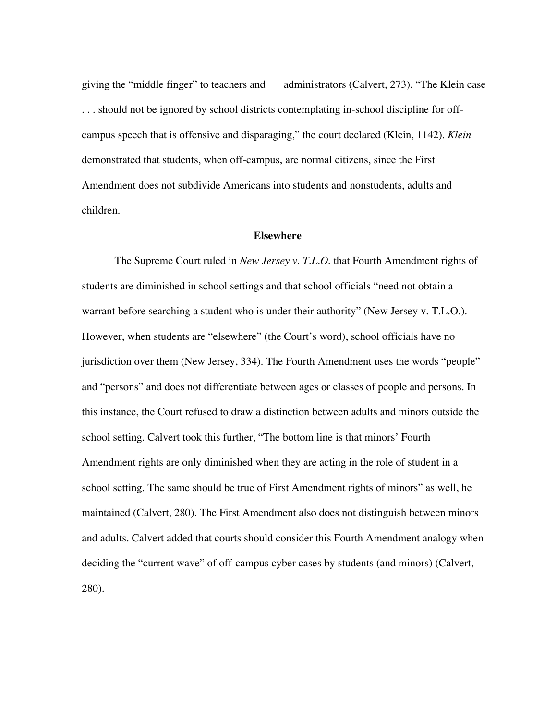giving the "middle finger" to teachers and administrators (Calvert, 273). "The Klein case . . . should not be ignored by school districts contemplating in-school discipline for offcampus speech that is offensive and disparaging," the court declared (Klein, 1142). *Klein* demonstrated that students, when off-campus, are normal citizens, since the First Amendment does not subdivide Americans into students and nonstudents, adults and children.

### **Elsewhere**

The Supreme Court ruled in *New Jersey v. T.L.O*. that Fourth Amendment rights of students are diminished in school settings and that school officials "need not obtain a warrant before searching a student who is under their authority" (New Jersey v. T.L.O.). However, when students are "elsewhere" (the Court's word), school officials have no jurisdiction over them (New Jersey, 334). The Fourth Amendment uses the words "people" and "persons" and does not differentiate between ages or classes of people and persons. In this instance, the Court refused to draw a distinction between adults and minors outside the school setting. Calvert took this further, "The bottom line is that minors' Fourth Amendment rights are only diminished when they are acting in the role of student in a school setting. The same should be true of First Amendment rights of minors" as well, he maintained (Calvert, 280). The First Amendment also does not distinguish between minors and adults. Calvert added that courts should consider this Fourth Amendment analogy when deciding the "current wave" of off-campus cyber cases by students (and minors) (Calvert, 280).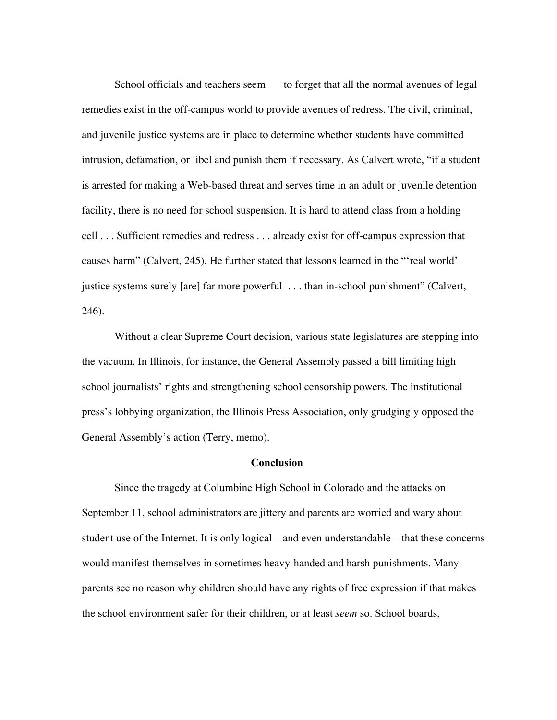School officials and teachers seem to forget that all the normal avenues of legal remedies exist in the off-campus world to provide avenues of redress. The civil, criminal, and juvenile justice systems are in place to determine whether students have committed intrusion, defamation, or libel and punish them if necessary. As Calvert wrote, "if a student is arrested for making a Web-based threat and serves time in an adult or juvenile detention facility, there is no need for school suspension. It is hard to attend class from a holding cell . . . Sufficient remedies and redress . . . already exist for off-campus expression that causes harm" (Calvert, 245). He further stated that lessons learned in the "'real world' justice systems surely [are] far more powerful . . . than in-school punishment" (Calvert, 246).

Without a clear Supreme Court decision, various state legislatures are stepping into the vacuum. In Illinois, for instance, the General Assembly passed a bill limiting high school journalists' rights and strengthening school censorship powers. The institutional press's lobbying organization, the Illinois Press Association, only grudgingly opposed the General Assembly's action (Terry, memo).

### Conclusion

Since the tragedy at Columbine High School in Colorado and the attacks on September 11, school administrators are jittery and parents are worried and wary about student use of the Internet. It is only logical – and even understandable – that these concerns would manifest themselves in sometimes heavy-handed and harsh punishments. Many parents see no reason why children should have any rights of free expression if that makes the school environment safer for their children, or at least *seem* so. School boards,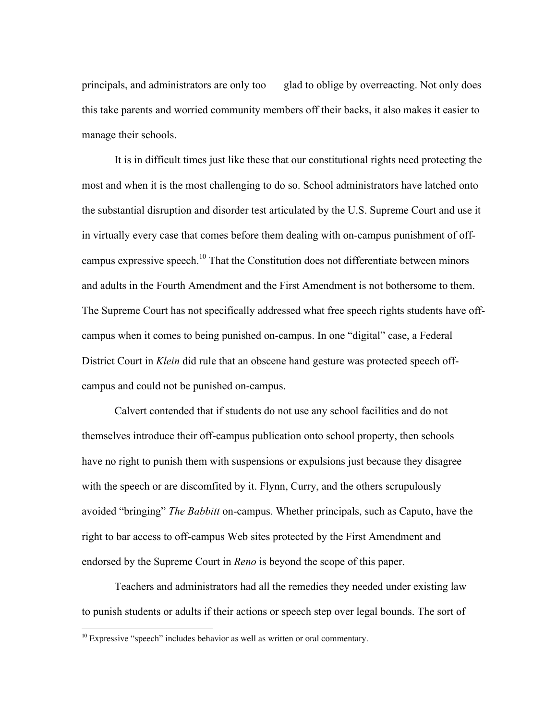principals, and administrators are only too glad to oblige by overreacting. Not only does this take parents and worried community members off their backs, it also makes it easier to manage their schools.

It is in difficult times just like these that our constitutional rights need protecting the most and when it is the most challenging to do so. School administrators have latched onto the substantial disruption and disorder test articulated by the U.S. Supreme Court and use it in virtually every case that comes before them dealing with on-campus punishment of offcampus expressive speech.<sup>10</sup> That the Constitution does not differentiate between minors and adults in the Fourth Amendment and the First Amendment is not bothersome to them. The Supreme Court has not specifically addressed what free speech rights students have offcampus when it comes to being punished on-campus. In one "digital" case, a Federal District Court in *Klein* did rule that an obscene hand gesture was protected speech offcampus and could not be punished on-campus.

Calvert contended that if students do not use any school facilities and do not themselves introduce their off-campus publication onto school property, then schools have no right to punish them with suspensions or expulsions just because they disagree with the speech or are discomfited by it. Flynn, Curry, and the others scrupulously avoided "bringing" *The Babbitt* on-campus. Whether principals, such as Caputo, have the right to bar access to off-campus Web sites protected by the First Amendment and endorsed by the Supreme Court in *Reno* is beyond the scope of this paper.

Teachers and administrators had all the remedies they needed under existing law to punish students or adults if their actions or speech step over legal bounds. The sort of

 <sup>10</sup> Expressive "speech" includes behavior as well as written or oral commentary.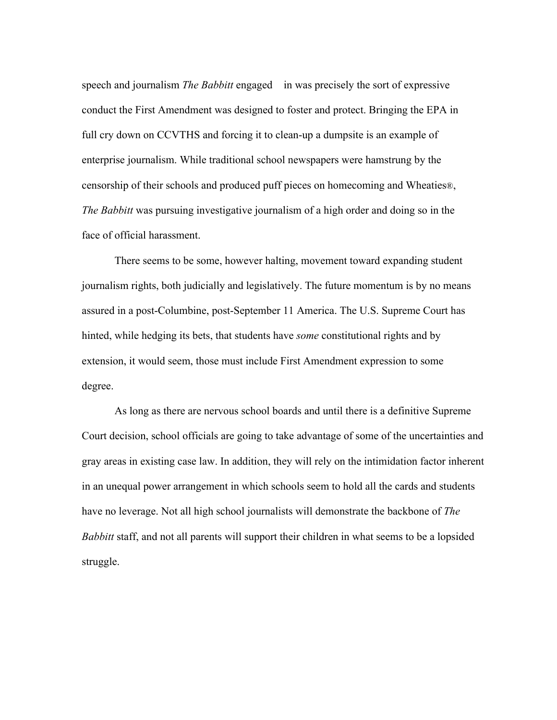speech and journalism *The Babbitt* engaged in was precisely the sort of expressive conduct the First Amendment was designed to foster and protect. Bringing the EPA in full cry down on CCVTHS and forcing it to clean-up a dumpsite is an example of enterprise journalism. While traditional school newspapers were hamstrung by the censorship of their schools and produced puff pieces on homecoming and Wheaties®, *The Babbitt* was pursuing investigative journalism of a high order and doing so in the face of official harassment.

There seems to be some, however halting, movement toward expanding student journalism rights, both judicially and legislatively. The future momentum is by no means assured in a post-Columbine, post-September 11 America. The U.S. Supreme Court has hinted, while hedging its bets, that students have *some* constitutional rights and by extension, it would seem, those must include First Amendment expression to some degree.

As long as there are nervous school boards and until there is a definitive Supreme Court decision, school officials are going to take advantage of some of the uncertainties and gray areas in existing case law. In addition, they will rely on the intimidation factor inherent in an unequal power arrangement in which schools seem to hold all the cards and students have no leverage. Not all high school journalists will demonstrate the backbone of *The Babbitt* staff, and not all parents will support their children in what seems to be a lopsided struggle.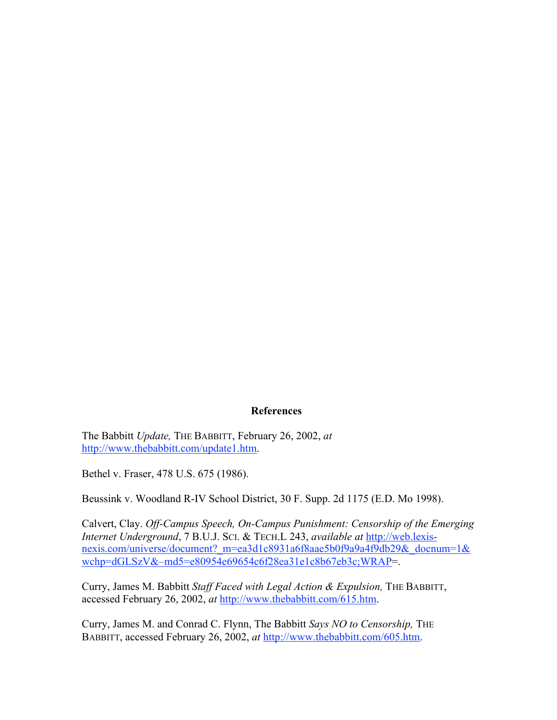### References

The Babbitt *Update,* THE BABBITT, February 26, 2002, *at* http://www.thebabbitt.com/update1.htm.

Bethel v. Fraser, 478 U.S. 675 (1986).

Beussink v. Woodland R-IV School District, 30 F. Supp. 2d 1175 (E.D. Mo 1998).

Calvert, Clay. *Off-Campus Speech, On-Campus Punishment: Censorship of the Emerging Internet Underground*, 7 B.U.J. SCI. & TECH.L 243, *available at* http://web.lexisnexis.com/universe/document? m=ea3d1c8931a6f8aae5b0f9a9a4f9db29&\_docnum=1& wchp=dGLSzV&–md5=e80954e69654c6f28ea31e1c8b67eb3c;WRAP=.

Curry, James M. Babbitt *Staff Faced with Legal Action & Expulsion,* THE BABBITT, accessed February 26, 2002, *at* http://www.thebabbitt.com/615.htm.

Curry, James M. and Conrad C. Flynn, The Babbitt *Says NO to Censorship,* THE BABBITT, accessed February 26, 2002, *at* http://www.thebabbitt.com/605.htm.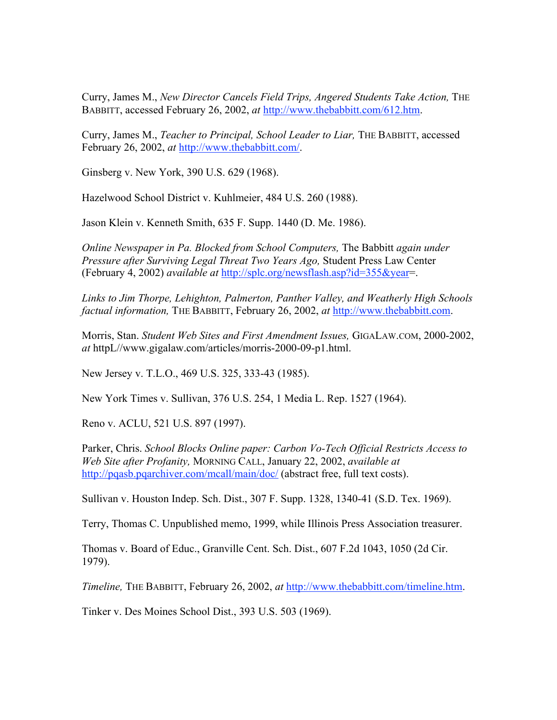Curry, James M., *New Director Cancels Field Trips, Angered Students Take Action*, THE BABBITT, accessed February 26, 2002, *at* http://www.thebabbitt.com/612.htm.

Curry, James M., *Teacher to Principal, School Leader to Liar,* THE BABBITT, accessed February 26, 2002, *at* http://www.thebabbitt.com/.

Ginsberg v. New York, 390 U.S. 629 (1968).

Hazelwood School District v. Kuhlmeier, 484 U.S. 260 (1988).

Jason Klein v. Kenneth Smith, 635 F. Supp. 1440 (D. Me. 1986).

*Online Newspaper in Pa. Blocked from School Computers,* The Babbitt *again under Pressure after Surviving Legal Threat Two Years Ago,* Student Press Law Center (February 4, 2002) *available at* http://splc.org/newsflash.asp?id=355&year=.

*Links to Jim Thorpe, Lehighton, Palmerton, Panther Valley, and Weatherly High Schools factual information,* THE BABBITT, February 26, 2002, *at* http://www.thebabbitt.com.

Morris, Stan. *Student Web Sites and First Amendment Issues,* GIGALAW.COM, 2000-2002, *at* httpL//www.gigalaw.com/articles/morris-2000-09-p1.html.

New Jersey v. T.L.O., 469 U.S. 325, 333-43 (1985).

New York Times v. Sullivan, 376 U.S. 254, 1 Media L. Rep. 1527 (1964).

Reno v. ACLU, 521 U.S. 897 (1997).

Parker, Chris. *School Blocks Online paper: Carbon Vo-Tech Official Restricts Access to Web Site after Profanity,* MORNING CALL, January 22, 2002, *available at* http://pqasb.pqarchiver.com/mcall/main/doc/ (abstract free, full text costs).

Sullivan v. Houston Indep. Sch. Dist., 307 F. Supp. 1328, 1340-41 (S.D. Tex. 1969).

Terry, Thomas C. Unpublished memo, 1999, while Illinois Press Association treasurer.

Thomas v. Board of Educ., Granville Cent. Sch. Dist., 607 F.2d 1043, 1050 (2d Cir. 1979).

*Timeline,* THE BABBITT, February 26, 2002, *at* http://www.thebabbitt.com/timeline.htm.

Tinker v. Des Moines School Dist., 393 U.S. 503 (1969).